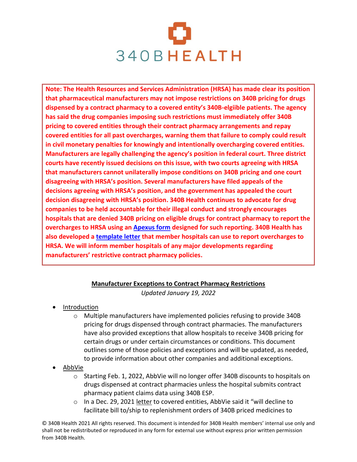

**Note: The Health Resources and Services Administration (HRSA) has made clear its position that pharmaceutical manufacturers may not impose restrictions on 340B pricing for drugs dispensed by a contract pharmacy to a covered entity's 340B-elgiible patients. The agency has said the drug companies imposing such restrictions must immediately offer 340B pricing to covered entities through their contract pharmacy arrangements and repay covered entities for all past overcharges, warning them that failure to comply could result in civil monetary penalties for knowingly and intentionally overcharging covered entities. Manufacturers are legally challenging the agency's position in federal court. Three district courts have recently issued decisions on this issue, with two courts agreeing with HRSA that manufacturers cannot unilaterally impose conditions on 340B pricing and one court disagreeing with HRSA's position. Several manufacturers have filed appeals of the decisions agreeing with HRSA's position, and the government has appealed the court decision disagreeing with HRSA's position. 340B Health continues to advocate for drug companies to be held accountable for their illegal conduct and strongly encourages hospitals that are denied 340B pricing on eligible drugs for contract pharmacy to report the overcharges to HRSA using an Apexus form designed for such reporting. 340B Health has also developed a template letter that member hospitals can use to report overcharges to HRSA. We will inform member hospitals of any major developments regarding manufacturers' restrictive contract pharmacy policies.**

## **Manufacturer Exceptions to Contract Pharmacy Restrictions**

*Updated January 19, 2022*

- Introduction
	- o Multiple manufacturers have implemented policies refusing to provide 340B pricing for drugs dispensed through contract pharmacies. The manufacturers have also provided exceptions that allow hospitals to receive 340B pricing for certain drugs or under certain circumstances or conditions. This document outlines some of those policies and exceptions and will be updated, as needed, to provide information about other companies and additional exceptions.
- AbbVie
	- o Starting Feb. 1, 2022, AbbVie will no longer offer 340B discounts to hospitals on drugs dispensed at contract pharmacies unless the hospital submits contract pharmacy patient claims data using 340B ESP.
	- $\circ$  In a Dec. 29, 2021 letter to covered entities, AbbVie said it "will decline to facilitate bill to/ship to replenishment orders of 340B priced medicines to

© 340B Health 2021 All rights reserved. This document is intended for 340B Health members' internal use only and shall not be redistributed or reproduced in any form for external use without express prior written permission from 340B Health.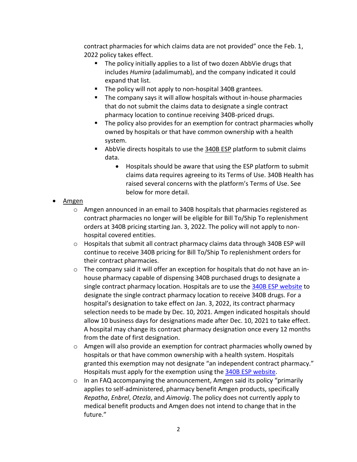contract pharmacies for which claims data are not provided" once the Feb. 1, 2022 policy takes effect.

- The policy initially applies to a list of two dozen AbbVie drugs that includes *Humira* (adalimumab), and the company indicated it could expand that list.
- The policy will not apply to non-hospital 340B grantees.
- The company says it will allow hospitals without in-house pharmacies that do not submit the claims data to designate a single contract pharmacy location to continue receiving 340B-priced drugs.
- The policy also provides for an exemption for contract pharmacies wholly owned by hospitals or that have common ownership with a health system.
- AbbVie directs hospitals to use the 340B ESP platform to submit claims data.
	- Hospitals should be aware that using the ESP platform to submit claims data requires agreeing to its Terms of Use. 340B Health has raised several concerns with the platform's Terms of Use. See below for more detail.

## • Amgen

- $\circ$  Amgen announced in an email to 340B hospitals that pharmacies registered as contract pharmacies no longer will be eligible for Bill To/Ship To replenishment orders at 340B pricing starting Jan. 3, 2022. The policy will not apply to nonhospital covered entities.
- o Hospitals that submit all contract pharmacy claims data through 340B ESP will continue to receive 340B pricing for Bill To/Ship To replenishment orders for their contract pharmacies.
- o The company said it will offer an exception for hospitals that do not have an inhouse pharmacy capable of dispensing 340B purchased drugs to designate a single contract pharmacy location. Hospitals are to use the 340B ESP website to designate the single contract pharmacy location to receive 340B drugs. For a hospital's designation to take effect on Jan. 3, 2022, its contract pharmacy selection needs to be made by Dec. 10, 2021. Amgen indicated hospitals should allow 10 business days for designations made after Dec. 10, 2021 to take effect. A hospital may change its contract pharmacy designation once every 12 months from the date of first designation.
- o Amgen will also provide an exemption for contract pharmacies wholly owned by hospitals or that have common ownership with a health system. Hospitals granted this exemption may not designate "an independent contract pharmacy." Hospitals must apply for the exemption using the 340B ESP website.
- $\circ$  In an FAQ accompanying the announcement, Amgen said its policy "primarily applies to self-administered, pharmacy benefit Amgen products, specifically *Repatha*, *Enbrel*, *Otezla*, and *Aimovig*. The policy does not currently apply to medical benefit products and Amgen does not intend to change that in the future."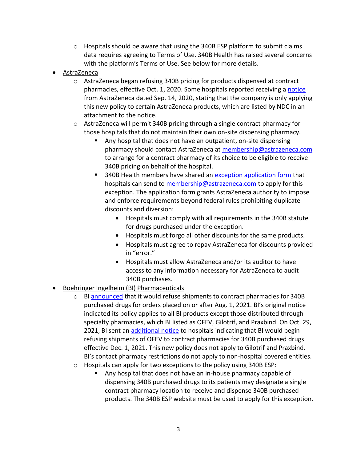- $\circ$  Hospitals should be aware that using the 340B ESP platform to submit claims data requires agreeing to Terms of Use. 340B Health has raised several concerns with the platform's Terms of Use. See below for more details.
- AstraZeneca
	- $\circ$  AstraZeneca began refusing 340B pricing for products dispensed at contract pharmacies, effective Oct. 1, 2020. Some hospitals reported receiving a notice from AstraZeneca dated Sep. 14, 2020, stating that the company is only applying this new policy to certain AstraZeneca products, which are listed by NDC in an attachment to the notice.
	- o AstraZeneca will permit 340B pricing through a single contract pharmacy for those hospitals that do not maintain their own on-site dispensing pharmacy.
		- Any hospital that does not have an outpatient, on-site dispensing pharmacy should contact AstraZeneca at membership@astrazeneca.com to arrange for a contract pharmacy of its choice to be eligible to receive 340B pricing on behalf of the hospital.
		- 340B Health members have shared an exception application form that hospitals can send to membership@astrazeneca.com to apply for this exception. The application form grants AstraZeneca authority to impose and enforce requirements beyond federal rules prohibiting duplicate discounts and diversion:
			- Hospitals must comply with all requirements in the 340B statute for drugs purchased under the exception.
			- Hospitals must forgo all other discounts for the same products.
			- Hospitals must agree to repay AstraZeneca for discounts provided in "error."
			- Hospitals must allow AstraZeneca and/or its auditor to have access to any information necessary for AstraZeneca to audit 340B purchases.
- Boehringer Ingelheim (BI) Pharmaceuticals
	- o BI announced that it would refuse shipments to contract pharmacies for 340B purchased drugs for orders placed on or after Aug. 1, 2021. BI's original notice indicated its policy applies to all BI products except those distributed through specialty pharmacies, which BI listed as OFEV, Gilotrif, and Praxbind. On Oct. 29, 2021, BI sent an additional notice to hospitals indicating that BI would begin refusing shipments of OFEV to contract pharmacies for 340B purchased drugs effective Dec. 1, 2021. This new policy does not apply to Gilotrif and Praxbind. BI's contact pharmacy restrictions do not apply to non-hospital covered entities.
	- o Hospitals can apply for two exceptions to the policy using 340B ESP:
		- Any hospital that does not have an in-house pharmacy capable of dispensing 340B purchased drugs to its patients may designate a single contract pharmacy location to receive and dispense 340B purchased products. The 340B ESP website must be used to apply for this exception.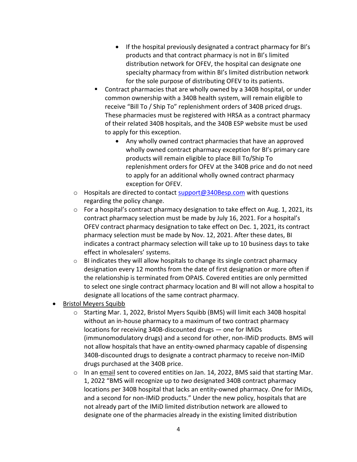- If the hospital previously designated a contract pharmacy for BI's products and that contract pharmacy is not in BI's limited distribution network for OFEV, the hospital can designate one specialty pharmacy from within BI's limited distribution network for the sole purpose of distributing OFEV to its patients.
- Contract pharmacies that are wholly owned by a 340B hospital, or under common ownership with a 340B health system, will remain eligible to receive "Bill To / Ship To" replenishment orders of 340B priced drugs. These pharmacies must be registered with HRSA as a contract pharmacy of their related 340B hospitals, and the 340B ESP website must be used to apply for this exception.
	- Any wholly owned contract pharmacies that have an approved wholly owned contract pharmacy exception for BI's primary care products will remain eligible to place Bill To/Ship To replenishment orders for OFEV at the 340B price and do not need to apply for an additional wholly owned contract pharmacy exception for OFEV.
- o Hospitals are directed to contact support@340Besp.com with questions regarding the policy change.
- o For a hospital's contract pharmacy designation to take effect on Aug. 1, 2021, its contract pharmacy selection must be made by July 16, 2021. For a hospital's OFEV contract pharmacy designation to take effect on Dec. 1, 2021, its contract pharmacy selection must be made by Nov. 12, 2021. After these dates, BI indicates a contract pharmacy selection will take up to 10 business days to take effect in wholesalers' systems.
- $\circ$  BI indicates they will allow hospitals to change its single contract pharmacy designation every 12 months from the date of first designation or more often if the relationship is terminated from OPAIS. Covered entities are only permitted to select one single contract pharmacy location and BI will not allow a hospital to designate all locations of the same contract pharmacy.
- Bristol Meyers Squibb
	- o Starting Mar. 1, 2022, Bristol Myers Squibb (BMS) will limit each 340B hospital without an in-house pharmacy to a maximum of two contract pharmacy locations for receiving 340B-discounted drugs — one for IMiDs (immunomodulatory drugs) and a second for other, non-IMiD products. BMS will not allow hospitals that have an entity-owned pharmacy capable of dispensing 340B-discounted drugs to designate a contract pharmacy to receive non-IMiD drugs purchased at the 340B price.
	- o In an email sent to covered entities on Jan. 14, 2022, BMS said that starting Mar. 1, 2022 "BMS will recognize up to *two* designated 340B contract pharmacy locations per 340B hospital that lacks an entity-owned pharmacy. One for IMiDs, and a second for non-IMiD products." Under the new policy, hospitals that are not already part of the IMiD limited distribution network are allowed to designate one of the pharmacies already in the existing limited distribution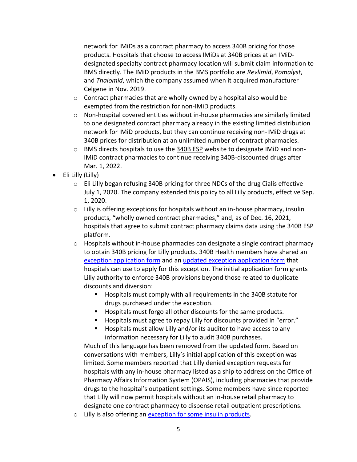network for IMiDs as a contract pharmacy to access 340B pricing for those products. Hospitals that choose to access IMiDs at 340B prices at an IMiDdesignated specialty contract pharmacy location will submit claim information to BMS directly. The IMiD products in the BMS portfolio are *Revlimid*, *Pomalyst*, and *Thalomid*, which the company assumed when it acquired manufacturer Celgene in Nov. 2019.

- o Contract pharmacies that are wholly owned by a hospital also would be exempted from the restriction for non-IMiD products.
- $\circ$  Non-hospital covered entities without in-house pharmacies are similarly limited to one designated contract pharmacy already in the existing limited distribution network for IMiD products, but they can continue receiving non-IMiD drugs at 340B prices for distribution at an unlimited number of contract pharmacies.
- $\circ$  BMS directs hospitals to use the 340B ESP website to designate IMiD and non-IMiD contract pharmacies to continue receiving 340B-discounted drugs after Mar. 1, 2022.
- Eli Lilly (Lilly)
	- $\circ$  Eli Lilly began refusing 340B pricing for three NDCs of the drug Cialis effective July 1, 2020. The company extended this policy to all Lilly products, effective Sep. 1, 2020.
	- $\circ$  Lilly is offering exceptions for hospitals without an in-house pharmacy, insulin products, "wholly owned contract pharmacies," and, as of Dec. 16, 2021, hospitals that agree to submit contract pharmacy claims data using the 340B ESP platform.
	- $\circ$  Hospitals without in-house pharmacies can designate a single contract pharmacy to obtain 340B pricing for Lilly products. 340B Health members have shared an exception application form and an updated exception application form that hospitals can use to apply for this exception. The initial application form grants Lilly authority to enforce 340B provisions beyond those related to duplicate discounts and diversion:
		- Hospitals must comply with all requirements in the 340B statute for drugs purchased under the exception.
		- Hospitals must forgo all other discounts for the same products.
		- Hospitals must agree to repay Lilly for discounts provided in "error."
		- Hospitals must allow Lilly and/or its auditor to have access to any information necessary for Lilly to audit 340B purchases.

Much of this language has been removed from the updated form. Based on conversations with members, Lilly's initial application of this exception was limited. Some members reported that Lilly denied exception requests for hospitals with any in-house pharmacy listed as a ship to address on the Office of Pharmacy Affairs Information System (OPAIS), including pharmacies that provide drugs to the hospital's outpatient settings. Some members have since reported that Lilly will now permit hospitals without an in-house retail pharmacy to designate one contract pharmacy to dispense retail outpatient prescriptions.

o Lilly is also offering an exception for some insulin products.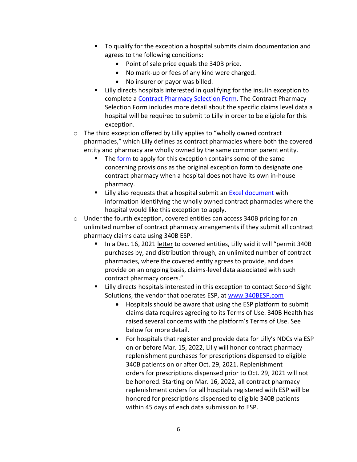- To qualify for the exception a hospital submits claim documentation and agrees to the following conditions:
	- Point of sale price equals the 340B price.
	- No mark-up or fees of any kind were charged.
	- No insurer or payor was billed.
- Lilly directs hospitals interested in qualifying for the insulin exception to complete a Contract Pharmacy Selection Form. The Contract Pharmacy Selection Form includes more detail about the specific claims level data a hospital will be required to submit to Lilly in order to be eligible for this exception.
- o The third exception offered by Lilly applies to "wholly owned contract pharmacies," which Lilly defines as contract pharmacies where both the covered entity and pharmacy are wholly owned by the same common parent entity.
	- The form to apply for this exception contains some of the same concerning provisions as the original exception form to designate one contract pharmacy when a hospital does not have its own in-house pharmacy.
	- Lilly also requests that a hospital submit an Excel document with information identifying the wholly owned contract pharmacies where the hospital would like this exception to apply.
- o Under the fourth exception, covered entities can access 340B pricing for an unlimited number of contract pharmacy arrangements if they submit all contract pharmacy claims data using 340B ESP.
	- In a Dec. 16, 2021 letter to covered entities, Lilly said it will "permit 340B purchases by, and distribution through, an unlimited number of contract pharmacies, where the covered entity agrees to provide, and does provide on an ongoing basis, claims-level data associated with such contract pharmacy orders."
	- Lilly directs hospitals interested in this exception to contact Second Sight Solutions, the vendor that operates ESP, at www.340BESP.com
		- Hospitals should be aware that using the ESP platform to submit claims data requires agreeing to its Terms of Use. 340B Health has raised several concerns with the platform's Terms of Use. See below for more detail.
		- For hospitals that register and provide data for Lilly's NDCs via ESP on or before Mar. 15, 2022, Lilly will honor contract pharmacy replenishment purchases for prescriptions dispensed to eligible 340B patients on or after Oct. 29, 2021. Replenishment orders for prescriptions dispensed prior to Oct. 29, 2021 will not be honored. Starting on Mar. 16, 2022, all contract pharmacy replenishment orders for all hospitals registered with ESP will be honored for prescriptions dispensed to eligible 340B patients within 45 days of each data submission to ESP.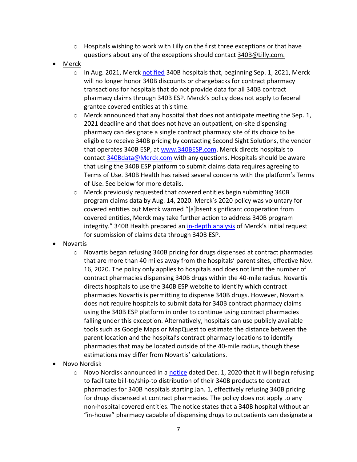- $\circ$  Hospitals wishing to work with Lilly on the first three exceptions or that have questions about any of the exceptions should contact 340B@Lilly.com.
- Merck
	- o In Aug. 2021, Merck notified 340B hospitals that, beginning Sep. 1, 2021, Merck will no longer honor 340B discounts or chargebacks for contract pharmacy transactions for hospitals that do not provide data for all 340B contract pharmacy claims through 340B ESP. Merck's policy does not apply to federal grantee covered entities at this time.
	- o Merck announced that any hospital that does not anticipate meeting the Sep. 1, 2021 deadline and that does not have an outpatient, on-site dispensing pharmacy can designate a single contract pharmacy site of its choice to be eligible to receive 340B pricing by contacting Second Sight Solutions, the vendor that operates 340B ESP, at www.340BESP.com. Merck directs hospitals to contact 340Bdata@Merck.com with any questions. Hospitals should be aware that using the 340B ESP platform to submit claims data requires agreeing to Terms of Use. 340B Health has raised several concerns with the platform's Terms of Use. See below for more details.
	- o Merck previously requested that covered entities begin submitting 340B program claims data by Aug. 14, 2020. Merck's 2020 policy was voluntary for covered entities but Merck warned "[a]bsent significant cooperation from covered entities, Merck may take further action to address 340B program integrity." 340B Health prepared an in-depth analysis of Merck's initial request for submission of claims data through 340B ESP.
- Novartis
	- o Novartis began refusing 340B pricing for drugs dispensed at contract pharmacies that are more than 40 miles away from the hospitals' parent sites, effective Nov. 16, 2020. The policy only applies to hospitals and does not limit the number of contract pharmacies dispensing 340B drugs within the 40-mile radius. Novartis directs hospitals to use the 340B ESP website to identify which contract pharmacies Novartis is permitting to dispense 340B drugs. However, Novartis does not require hospitals to submit data for 340B contract pharmacy claims using the 340B ESP platform in order to continue using contract pharmacies falling under this exception. Alternatively, hospitals can use publicly available tools such as Google Maps or MapQuest to estimate the distance between the parent location and the hospital's contract pharmacy locations to identify pharmacies that may be located outside of the 40-mile radius, though these estimations may differ from Novartis' calculations.
- Novo Nordisk
	- o Novo Nordisk announced in a notice dated Dec. 1, 2020 that it will begin refusing to facilitate bill-to/ship-to distribution of their 340B products to contract pharmacies for 340B hospitals starting Jan. 1, effectively refusing 340B pricing for drugs dispensed at contract pharmacies. The policy does not apply to any non-hospital covered entities. The notice states that a 340B hospital without an "in-house" pharmacy capable of dispensing drugs to outpatients can designate a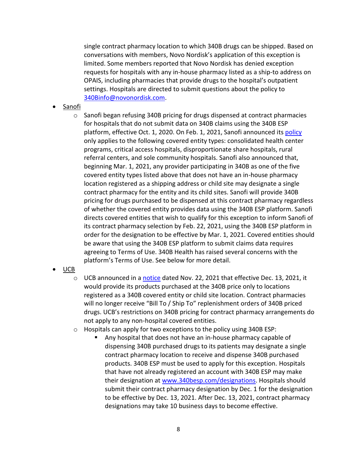single contract pharmacy location to which 340B drugs can be shipped. Based on conversations with members, Novo Nordisk's application of this exception is limited. Some members reported that Novo Nordisk has denied exception requests for hospitals with any in-house pharmacy listed as a ship-to address on OPAIS, including pharmacies that provide drugs to the hospital's outpatient settings. Hospitals are directed to submit questions about the policy to 340Binfo@novonordisk.com.

- Sanofi
	- o Sanofi began refusing 340B pricing for drugs dispensed at contract pharmacies for hospitals that do not submit data on 340B claims using the 340B ESP platform, effective Oct. 1, 2020. On Feb. 1, 2021, Sanofi announced its policy only applies to the following covered entity types: consolidated health center programs, critical access hospitals, disproportionate share hospitals, rural referral centers, and sole community hospitals. Sanofi also announced that, beginning Mar. 1, 2021, any provider participating in 340B as one of the five covered entity types listed above that does not have an in-house pharmacy location registered as a shipping address or child site may designate a single contract pharmacy for the entity and its child sites. Sanofi will provide 340B pricing for drugs purchased to be dispensed at this contract pharmacy regardless of whether the covered entity provides data using the 340B ESP platform. Sanofi directs covered entities that wish to qualify for this exception to inform Sanofi of its contract pharmacy selection by Feb. 22, 2021, using the 340B ESP platform in order for the designation to be effective by Mar. 1, 2021. Covered entities should be aware that using the 340B ESP platform to submit claims data requires agreeing to Terms of Use. 340B Health has raised several concerns with the platform's Terms of Use. See below for more detail.
- UCB
	- $\circ$  UCB announced in a notice dated Nov. 22, 2021 that effective Dec. 13, 2021, it would provide its products purchased at the 340B price only to locations registered as a 340B covered entity or child site location. Contract pharmacies will no longer receive "Bill To / Ship To" replenishment orders of 340B priced drugs. UCB's restrictions on 340B pricing for contract pharmacy arrangements do not apply to any non-hospital covered entities.
	- $\circ$  Hospitals can apply for two exceptions to the policy using 340B ESP:
		- Any hospital that does not have an in-house pharmacy capable of dispensing 340B purchased drugs to its patients may designate a single contract pharmacy location to receive and dispense 340B purchased products. 340B ESP must be used to apply for this exception. Hospitals that have not already registered an account with 340B ESP may make their designation at www.340besp.com/designations. Hospitals should submit their contract pharmacy designation by Dec. 1 for the designation to be effective by Dec. 13, 2021. After Dec. 13, 2021, contract pharmacy designations may take 10 business days to become effective.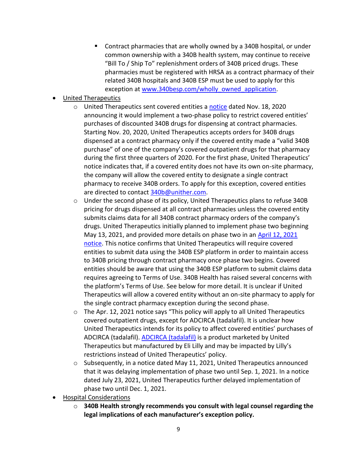■ Contract pharmacies that are wholly owned by a 340B hospital, or under common ownership with a 340B health system, may continue to receive "Bill To / Ship To" replenishment orders of 340B priced drugs. These pharmacies must be registered with HRSA as a contract pharmacy of their related 340B hospitals and 340B ESP must be used to apply for this exception at www.340besp.com/wholly\_owned\_application.

## • United Therapeutics

- o United Therapeutics sent covered entities a notice dated Nov. 18, 2020 announcing it would implement a two-phase policy to restrict covered entities' purchases of discounted 340B drugs for dispensing at contract pharmacies. Starting Nov. 20, 2020, United Therapeutics accepts orders for 340B drugs dispensed at a contract pharmacy only if the covered entity made a "valid 340B purchase" of one of the company's covered outpatient drugs for that pharmacy during the first three quarters of 2020. For the first phase, United Therapeutics' notice indicates that, if a covered entity does not have its own on-site pharmacy, the company will allow the covered entity to designate a single contract pharmacy to receive 340B orders. To apply for this exception, covered entities are directed to contact 340b@unither.com.
- o Under the second phase of its policy, United Therapeutics plans to refuse 340B pricing for drugs dispensed at all contract pharmacies unless the covered entity submits claims data for all 340B contract pharmacy orders of the company's drugs. United Therapeutics initially planned to implement phase two beginning May 13, 2021, and provided more details on phase two in an April 12, 2021 notice. This notice confirms that United Therapeutics will require covered entities to submit data using the 340B ESP platform in order to maintain access to 340B pricing through contract pharmacy once phase two begins. Covered entities should be aware that using the 340B ESP platform to submit claims data requires agreeing to Terms of Use. 340B Health has raised several concerns with the platform's Terms of Use. See below for more detail. It is unclear if United Therapeutics will allow a covered entity without an on-site pharmacy to apply for the single contract pharmacy exception during the second phase.
- $\circ$  The Apr. 12, 2021 notice says "This policy will apply to all United Therapeutics covered outpatient drugs, except for ADCIRCA (tadalafil). It is unclear how United Therapeutics intends for its policy to affect covered entities' purchases of ADCIRCA (tadalafil). ADCIRCA (tadalafil) is a product marketed by United Therapeutics but manufactured by Eli Lilly and may be impacted by Lilly's restrictions instead of United Therapeutics' policy.
- $\circ$  Subsequently, in a notice dated May 11, 2021, United Therapeutics announced that it was delaying implementation of phase two until Sep. 1, 2021. In a notice dated July 23, 2021, United Therapeutics further delayed implementation of phase two until Dec. 1, 2021.
- Hospital Considerations
	- o **340B Health strongly recommends you consult with legal counsel regarding the legal implications of each manufacturer's exception policy.**